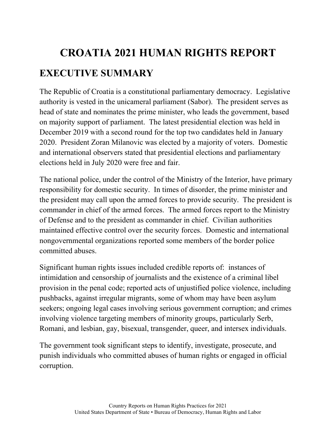# **CROATIA 2021 HUMAN RIGHTS REPORT EXECUTIVE SUMMARY**

The Republic of Croatia is a constitutional parliamentary democracy. Legislative authority is vested in the unicameral parliament (Sabor). The president serves as head of state and nominates the prime minister, who leads the government, based on majority support of parliament. The latest presidential election was held in December 2019 with a second round for the top two candidates held in January 2020. President Zoran Milanovic was elected by a majority of voters. Domestic and international observers stated that presidential elections and parliamentary elections held in July 2020 were free and fair.

The national police, under the control of the Ministry of the Interior, have primary responsibility for domestic security. In times of disorder, the prime minister and the president may call upon the armed forces to provide security. The president is commander in chief of the armed forces. The armed forces report to the Ministry of Defense and to the president as commander in chief. Civilian authorities maintained effective control over the security forces. Domestic and international nongovernmental organizations reported some members of the border police committed abuses.

Significant human rights issues included credible reports of: instances of intimidation and censorship of journalists and the existence of a criminal libel provision in the penal code; reported acts of unjustified police violence, including pushbacks, against irregular migrants, some of whom may have been asylum seekers; ongoing legal cases involving serious government corruption; and crimes involving violence targeting members of minority groups, particularly Serb, Romani, and lesbian, gay, bisexual, transgender, queer, and intersex individuals.

The government took significant steps to identify, investigate, prosecute, and punish individuals who committed abuses of human rights or engaged in official corruption.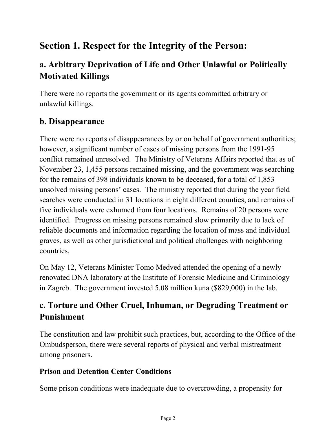# **Section 1. Respect for the Integrity of the Person:**

## **a. Arbitrary Deprivation of Life and Other Unlawful or Politically Motivated Killings**

There were no reports the government or its agents committed arbitrary or unlawful killings.

#### **b. Disappearance**

There were no reports of disappearances by or on behalf of government authorities; however, a significant number of cases of missing persons from the 1991-95 conflict remained unresolved. The Ministry of Veterans Affairs reported that as of November 23, 1,455 persons remained missing, and the government was searching for the remains of 398 individuals known to be deceased, for a total of 1,853 unsolved missing persons' cases. The ministry reported that during the year field searches were conducted in 31 locations in eight different counties, and remains of five individuals were exhumed from four locations. Remains of 20 persons were identified. Progress on missing persons remained slow primarily due to lack of reliable documents and information regarding the location of mass and individual graves, as well as other jurisdictional and political challenges with neighboring countries.

On May 12, Veterans Minister Tomo Medved attended the opening of a newly renovated DNA laboratory at the Institute of Forensic Medicine and Criminology in Zagreb. The government invested 5.08 million kuna (\$829,000) in the lab.

## **c. Torture and Other Cruel, Inhuman, or Degrading Treatment or Punishment**

The constitution and law prohibit such practices, but, according to the Office of the Ombudsperson, there were several reports of physical and verbal mistreatment among prisoners.

#### **Prison and Detention Center Conditions**

Some prison conditions were inadequate due to overcrowding, a propensity for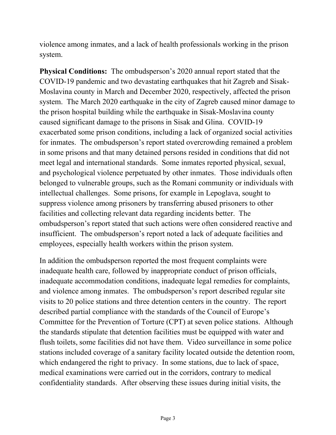violence among inmates, and a lack of health professionals working in the prison system.

**Physical Conditions:** The ombudsperson's 2020 annual report stated that the COVID-19 pandemic and two devastating earthquakes that hit Zagreb and Sisak-Moslavina county in March and December 2020, respectively, affected the prison system. The March 2020 earthquake in the city of Zagreb caused minor damage to the prison hospital building while the earthquake in Sisak-Moslavina county caused significant damage to the prisons in Sisak and Glina. COVID-19 exacerbated some prison conditions, including a lack of organized social activities for inmates. The ombudsperson's report stated overcrowding remained a problem in some prisons and that many detained persons resided in conditions that did not meet legal and international standards. Some inmates reported physical, sexual, and psychological violence perpetuated by other inmates. Those individuals often belonged to vulnerable groups, such as the Romani community or individuals with intellectual challenges. Some prisons, for example in Lepoglava, sought to suppress violence among prisoners by transferring abused prisoners to other facilities and collecting relevant data regarding incidents better. The ombudsperson's report stated that such actions were often considered reactive and insufficient. The ombudsperson's report noted a lack of adequate facilities and employees, especially health workers within the prison system.

In addition the ombudsperson reported the most frequent complaints were inadequate health care, followed by inappropriate conduct of prison officials, inadequate accommodation conditions, inadequate legal remedies for complaints, and violence among inmates. The ombudsperson's report described regular site visits to 20 police stations and three detention centers in the country. The report described partial compliance with the standards of the Council of Europe's Committee for the Prevention of Torture (CPT) at seven police stations. Although the standards stipulate that detention facilities must be equipped with water and flush toilets, some facilities did not have them. Video surveillance in some police stations included coverage of a sanitary facility located outside the detention room, which endangered the right to privacy. In some stations, due to lack of space, medical examinations were carried out in the corridors, contrary to medical confidentiality standards. After observing these issues during initial visits, the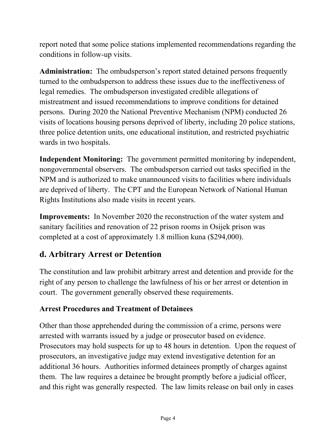report noted that some police stations implemented recommendations regarding the conditions in follow-up visits.

**Administration:** The ombudsperson's report stated detained persons frequently turned to the ombudsperson to address these issues due to the ineffectiveness of legal remedies. The ombudsperson investigated credible allegations of mistreatment and issued recommendations to improve conditions for detained persons. During 2020 the National Preventive Mechanism (NPM) conducted 26 visits of locations housing persons deprived of liberty, including 20 police stations, three police detention units, one educational institution, and restricted psychiatric wards in two hospitals.

**Independent Monitoring:** The government permitted monitoring by independent, nongovernmental observers. The ombudsperson carried out tasks specified in the NPM and is authorized to make unannounced visits to facilities where individuals are deprived of liberty. The CPT and the European Network of National Human Rights Institutions also made visits in recent years.

**Improvements:** In November 2020 the reconstruction of the water system and sanitary facilities and renovation of 22 prison rooms in Osijek prison was completed at a cost of approximately 1.8 million kuna (\$294,000).

## **d. Arbitrary Arrest or Detention**

The constitution and law prohibit arbitrary arrest and detention and provide for the right of any person to challenge the lawfulness of his or her arrest or detention in court. The government generally observed these requirements.

#### **Arrest Procedures and Treatment of Detainees**

Other than those apprehended during the commission of a crime, persons were arrested with warrants issued by a judge or prosecutor based on evidence. Prosecutors may hold suspects for up to 48 hours in detention. Upon the request of prosecutors, an investigative judge may extend investigative detention for an additional 36 hours. Authorities informed detainees promptly of charges against them. The law requires a detainee be brought promptly before a judicial officer, and this right was generally respected. The law limits release on bail only in cases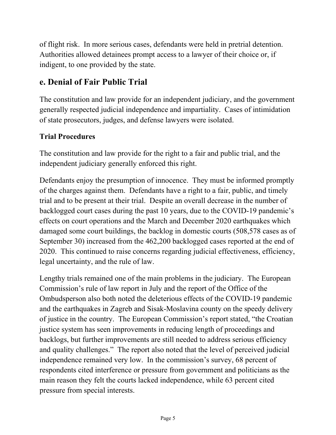of flight risk. In more serious cases, defendants were held in pretrial detention. Authorities allowed detainees prompt access to a lawyer of their choice or, if indigent, to one provided by the state.

## **e. Denial of Fair Public Trial**

The constitution and law provide for an independent judiciary, and the government generally respected judicial independence and impartiality. Cases of intimidation of state prosecutors, judges, and defense lawyers were isolated.

#### **Trial Procedures**

The constitution and law provide for the right to a fair and public trial, and the independent judiciary generally enforced this right.

Defendants enjoy the presumption of innocence. They must be informed promptly of the charges against them. Defendants have a right to a fair, public, and timely trial and to be present at their trial. Despite an overall decrease in the number of backlogged court cases during the past 10 years, due to the COVID-19 pandemic's effects on court operations and the March and December 2020 earthquakes which damaged some court buildings, the backlog in domestic courts (508,578 cases as of September 30) increased from the 462,200 backlogged cases reported at the end of 2020. This continued to raise concerns regarding judicial effectiveness, efficiency, legal uncertainty, and the rule of law.

Lengthy trials remained one of the main problems in the judiciary. The European Commission's rule of law report in July and the report of the Office of the Ombudsperson also both noted the deleterious effects of the COVID-19 pandemic and the earthquakes in Zagreb and Sisak-Moslavina county on the speedy delivery of justice in the country. The European Commission's report stated, "the Croatian justice system has seen improvements in reducing length of proceedings and backlogs, but further improvements are still needed to address serious efficiency and quality challenges." The report also noted that the level of perceived judicial independence remained very low. In the commission's survey, 68 percent of respondents cited interference or pressure from government and politicians as the main reason they felt the courts lacked independence, while 63 percent cited pressure from special interests.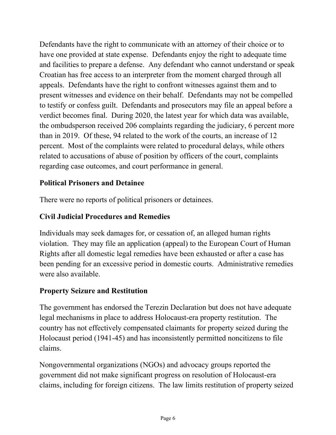Defendants have the right to communicate with an attorney of their choice or to have one provided at state expense. Defendants enjoy the right to adequate time and facilities to prepare a defense. Any defendant who cannot understand or speak Croatian has free access to an interpreter from the moment charged through all appeals. Defendants have the right to confront witnesses against them and to present witnesses and evidence on their behalf. Defendants may not be compelled to testify or confess guilt. Defendants and prosecutors may file an appeal before a verdict becomes final. During 2020, the latest year for which data was available, the ombudsperson received 206 complaints regarding the judiciary, 6 percent more than in 2019. Of these, 94 related to the work of the courts, an increase of 12 percent. Most of the complaints were related to procedural delays, while others related to accusations of abuse of position by officers of the court, complaints regarding case outcomes, and court performance in general.

#### **Political Prisoners and Detainee**

There were no reports of political prisoners or detainees.

#### **Civil Judicial Procedures and Remedies**

Individuals may seek damages for, or cessation of, an alleged human rights violation. They may file an application (appeal) to the European Court of Human Rights after all domestic legal remedies have been exhausted or after a case has been pending for an excessive period in domestic courts. Administrative remedies were also available.

#### **Property Seizure and Restitution**

The government has endorsed the Terezin Declaration but does not have adequate legal mechanisms in place to address Holocaust-era property restitution. The country has not effectively compensated claimants for property seized during the Holocaust period (1941-45) and has inconsistently permitted noncitizens to file claims.

Nongovernmental organizations (NGOs) and advocacy groups reported the government did not make significant progress on resolution of Holocaust-era claims, including for foreign citizens. The law limits restitution of property seized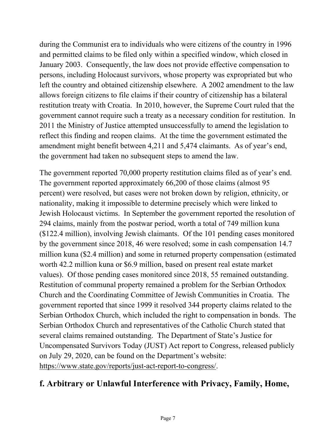during the Communist era to individuals who were citizens of the country in 1996 and permitted claims to be filed only within a specified window, which closed in January 2003. Consequently, the law does not provide effective compensation to persons, including Holocaust survivors, whose property was expropriated but who left the country and obtained citizenship elsewhere. A 2002 amendment to the law allows foreign citizens to file claims if their country of citizenship has a bilateral restitution treaty with Croatia. In 2010, however, the Supreme Court ruled that the government cannot require such a treaty as a necessary condition for restitution. In 2011 the Ministry of Justice attempted unsuccessfully to amend the legislation to reflect this finding and reopen claims. At the time the government estimated the amendment might benefit between 4,211 and 5,474 claimants. As of year's end, the government had taken no subsequent steps to amend the law.

The government reported 70,000 property restitution claims filed as of year's end. The government reported approximately 66,200 of those claims (almost 95 percent) were resolved, but cases were not broken down by religion, ethnicity, or nationality, making it impossible to determine precisely which were linked to Jewish Holocaust victims. In September the government reported the resolution of 294 claims, mainly from the postwar period, worth a total of 749 million kuna (\$122.4 million), involving Jewish claimants. Of the 101 pending cases monitored by the government since 2018, 46 were resolved; some in cash compensation 14.7 million kuna (\$2.4 million) and some in returned property compensation (estimated worth 42.2 million kuna or \$6.9 million, based on present real estate market values). Of those pending cases monitored since 2018, 55 remained outstanding. Restitution of communal property remained a problem for the Serbian Orthodox Church and the Coordinating Committee of Jewish Communities in Croatia. The government reported that since 1999 it resolved 344 property claims related to the Serbian Orthodox Church, which included the right to compensation in bonds. The Serbian Orthodox Church and representatives of the Catholic Church stated that several claims remained outstanding. The Department of State's Justice for Uncompensated Survivors Today (JUST) Act report to Congress, released publicly on July 29, 2020, can be found on the Department's website: [https://www.state.gov/reports/just-act-report-to-congress/.](https://www.state.gov/reports/just-act-report-to-congress/)

## **f. Arbitrary or Unlawful Interference with Privacy, Family, Home,**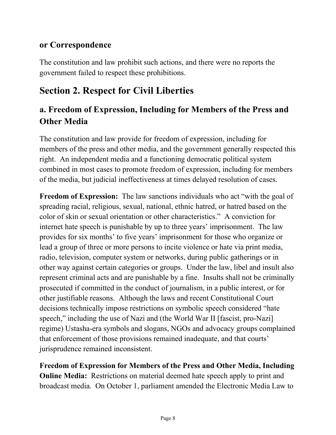#### **or Correspondence**

The constitution and law prohibit such actions, and there were no reports the government failed to respect these prohibitions.

# **Section 2. Respect for Civil Liberties**

## **a. Freedom of Expression, Including for Members of the Press and Other Media**

The constitution and law provide for freedom of expression, including for members of the press and other media, and the government generally respected this right. An independent media and a functioning democratic political system combined in most cases to promote freedom of expression, including for members of the media, but judicial ineffectiveness at times delayed resolution of cases.

**Freedom of Expression:** The law sanctions individuals who act "with the goal of spreading racial, religious, sexual, national, ethnic hatred, or hatred based on the color of skin or sexual orientation or other characteristics." A conviction for internet hate speech is punishable by up to three years' imprisonment. The law provides for six months' to five years' imprisonment for those who organize or lead a group of three or more persons to incite violence or hate via print media, radio, television, computer system or networks, during public gatherings or in other way against certain categories or groups. Under the law, libel and insult also represent criminal acts and are punishable by a fine. Insults shall not be criminally prosecuted if committed in the conduct of journalism, in a public interest, or for other justifiable reasons. Although the laws and recent Constitutional Court decisions technically impose restrictions on symbolic speech considered "hate speech," including the use of Nazi and (the World War II [fascist, pro-Nazi] regime) Ustasha-era symbols and slogans, NGOs and advocacy groups complained that enforcement of those provisions remained inadequate, and that courts' jurisprudence remained inconsistent.

**Freedom of Expression for Members of the Press and Other Media, Including Online Media:** Restrictions on material deemed hate speech apply to print and broadcast media. On October 1, parliament amended the Electronic Media Law to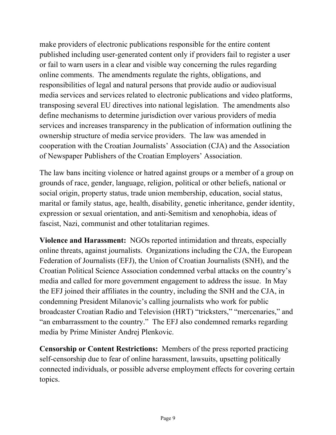make providers of electronic publications responsible for the entire content published including user-generated content only if providers fail to register a user or fail to warn users in a clear and visible way concerning the rules regarding online comments. The amendments regulate the rights, obligations, and responsibilities of legal and natural persons that provide audio or audiovisual media services and services related to electronic publications and video platforms, transposing several EU directives into national legislation. The amendments also define mechanisms to determine jurisdiction over various providers of media services and increases transparency in the publication of information outlining the ownership structure of media service providers. The law was amended in cooperation with the Croatian Journalists' Association (CJA) and the Association of Newspaper Publishers of the Croatian Employers' Association.

The law bans inciting violence or hatred against groups or a member of a group on grounds of race, gender, language, religion, political or other beliefs, national or social origin, property status, trade union membership, education, social status, marital or family status, age, health, disability, genetic inheritance, gender identity, expression or sexual orientation, and anti-Semitism and xenophobia, ideas of fascist, Nazi, communist and other totalitarian regimes.

**Violence and Harassment:** NGOs reported intimidation and threats, especially online threats, against journalists. Organizations including the CJA, the European Federation of Journalists (EFJ), the Union of Croatian Journalists (SNH), and the Croatian Political Science Association condemned verbal attacks on the country's media and called for more government engagement to address the issue. In May the EFJ joined their affiliates in the country, including the SNH and the CJA, in condemning President Milanovic's calling journalists who work for public broadcaster Croatian Radio and Television (HRT) "tricksters," "mercenaries," and "an embarrassment to the country." The EFJ also condemned remarks regarding media by Prime Minister Andrej Plenkovic.

**Censorship or Content Restrictions:** Members of the press reported practicing self-censorship due to fear of online harassment, lawsuits, upsetting politically connected individuals, or possible adverse employment effects for covering certain topics.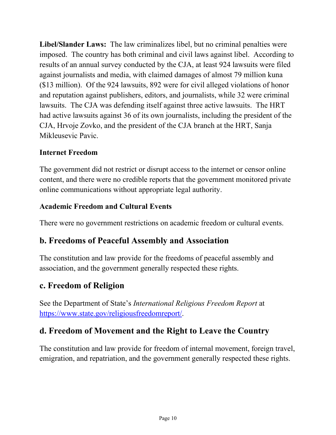**Libel/Slander Laws:** The law criminalizes libel, but no criminal penalties were imposed. The country has both criminal and civil laws against libel. According to results of an annual survey conducted by the CJA, at least 924 lawsuits were filed against journalists and media, with claimed damages of almost 79 million kuna (\$13 million). Of the 924 lawsuits, 892 were for civil alleged violations of honor and reputation against publishers, editors, and journalists, while 32 were criminal lawsuits. The CJA was defending itself against three active lawsuits. The HRT had active lawsuits against 36 of its own journalists, including the president of the CJA, Hrvoje Zovko, and the president of the CJA branch at the HRT, Sanja Mikleusevic Pavic.

#### **Internet Freedom**

The government did not restrict or disrupt access to the internet or censor online content, and there were no credible reports that the government monitored private online communications without appropriate legal authority.

#### **Academic Freedom and Cultural Events**

There were no government restrictions on academic freedom or cultural events.

#### **b. Freedoms of Peaceful Assembly and Association**

The constitution and law provide for the freedoms of peaceful assembly and association, and the government generally respected these rights.

#### **c. Freedom of Religion**

See the Department of State's *International Religious Freedom Report* at [https://www.state.gov/religiousfreedomreport/.](https://www.state.gov/religiousfreedomreport/)

#### **d. Freedom of Movement and the Right to Leave the Country**

The constitution and law provide for freedom of internal movement, foreign travel, emigration, and repatriation, and the government generally respected these rights.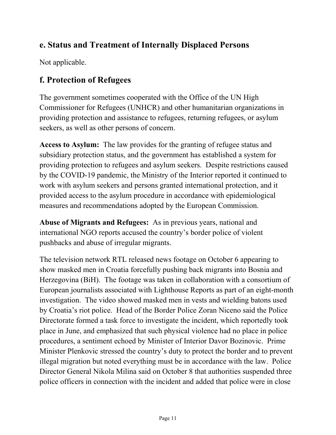## **e. Status and Treatment of Internally Displaced Persons**

Not applicable.

## **f. Protection of Refugees**

The government sometimes cooperated with the Office of the UN High Commissioner for Refugees (UNHCR) and other humanitarian organizations in providing protection and assistance to refugees, returning refugees, or asylum seekers, as well as other persons of concern.

**Access to Asylum:** The law provides for the granting of refugee status and subsidiary protection status, and the government has established a system for providing protection to refugees and asylum seekers. Despite restrictions caused by the COVID-19 pandemic, the Ministry of the Interior reported it continued to work with asylum seekers and persons granted international protection, and it provided access to the asylum procedure in accordance with epidemiological measures and recommendations adopted by the European Commission.

**Abuse of Migrants and Refugees:** As in previous years, national and international NGO reports accused the country's border police of violent pushbacks and abuse of irregular migrants.

The television network RTL released news footage on October 6 appearing to show masked men in Croatia forcefully pushing back migrants into Bosnia and Herzegovina (BiH). The footage was taken in collaboration with a consortium of European journalists associated with Lighthouse Reports as part of an eight-month investigation. The video showed masked men in vests and wielding batons used by Croatia's riot police. Head of the Border Police Zoran Niceno said the Police Directorate formed a task force to investigate the incident, which reportedly took place in June, and emphasized that such physical violence had no place in police procedures, a sentiment echoed by Minister of Interior Davor Bozinovic. Prime Minister Plenkovic stressed the country's duty to protect the border and to prevent illegal migration but noted everything must be in accordance with the law. Police Director General Nikola Milina said on October 8 that authorities suspended three police officers in connection with the incident and added that police were in close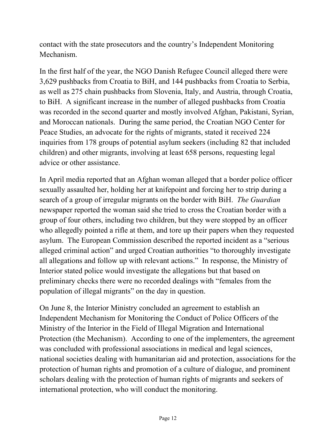contact with the state prosecutors and the country's Independent Monitoring Mechanism.

In the first half of the year, the NGO Danish Refugee Council alleged there were 3,629 pushbacks from Croatia to BiH, and 144 pushbacks from Croatia to Serbia, as well as 275 chain pushbacks from Slovenia, Italy, and Austria, through Croatia, to BiH. A significant increase in the number of alleged pushbacks from Croatia was recorded in the second quarter and mostly involved Afghan, Pakistani, Syrian, and Moroccan nationals. During the same period, the Croatian NGO Center for Peace Studies, an advocate for the rights of migrants, stated it received 224 inquiries from 178 groups of potential asylum seekers (including 82 that included children) and other migrants, involving at least 658 persons, requesting legal advice or other assistance.

In April media reported that an Afghan woman alleged that a border police officer sexually assaulted her, holding her at knifepoint and forcing her to strip during a search of a group of irregular migrants on the border with BiH. *The Guardian*  newspaper reported the woman said she tried to cross the Croatian border with a group of four others, including two children, but they were stopped by an officer who allegedly pointed a rifle at them, and tore up their papers when they requested asylum. The European Commission described the reported incident as a "serious alleged criminal action" and urged Croatian authorities "to thoroughly investigate all allegations and follow up with relevant actions." In response, the Ministry of Interior stated police would investigate the allegations but that based on preliminary checks there were no recorded dealings with "females from the population of illegal migrants" on the day in question.

On June 8, the Interior Ministry concluded an agreement to establish an Independent Mechanism for Monitoring the Conduct of Police Officers of the Ministry of the Interior in the Field of Illegal Migration and International Protection (the Mechanism). According to one of the implementers, the agreement was concluded with professional associations in medical and legal sciences, national societies dealing with humanitarian aid and protection, associations for the protection of human rights and promotion of a culture of dialogue, and prominent scholars dealing with the protection of human rights of migrants and seekers of international protection, who will conduct the monitoring.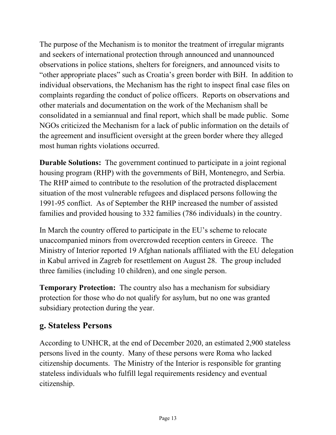The purpose of the Mechanism is to monitor the treatment of irregular migrants and seekers of international protection through announced and unannounced observations in police stations, shelters for foreigners, and announced visits to "other appropriate places" such as Croatia's green border with BiH. In addition to individual observations, the Mechanism has the right to inspect final case files on complaints regarding the conduct of police officers. Reports on observations and other materials and documentation on the work of the Mechanism shall be consolidated in a semiannual and final report, which shall be made public. Some NGOs criticized the Mechanism for a lack of public information on the details of the agreement and insufficient oversight at the green border where they alleged most human rights violations occurred.

**Durable Solutions:** The government continued to participate in a joint regional housing program (RHP) with the governments of BiH, Montenegro, and Serbia. The RHP aimed to contribute to the resolution of the protracted displacement situation of the most vulnerable refugees and displaced persons following the 1991-95 conflict. As of September the RHP increased the number of assisted families and provided housing to 332 families (786 individuals) in the country.

In March the country offered to participate in the EU's scheme to relocate unaccompanied minors from overcrowded reception centers in Greece. The Ministry of Interior reported 19 Afghan nationals affiliated with the EU delegation in Kabul arrived in Zagreb for resettlement on August 28. The group included three families (including 10 children), and one single person.

**Temporary Protection:** The country also has a mechanism for subsidiary protection for those who do not qualify for asylum, but no one was granted subsidiary protection during the year.

### **g. Stateless Persons**

According to UNHCR, at the end of December 2020, an estimated 2,900 stateless persons lived in the county. Many of these persons were Roma who lacked citizenship documents. The Ministry of the Interior is responsible for granting stateless individuals who fulfill legal requirements residency and eventual citizenship.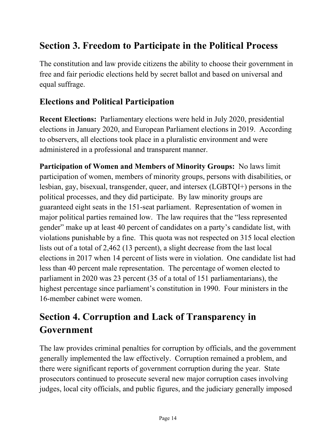# **Section 3. Freedom to Participate in the Political Process**

The constitution and law provide citizens the ability to choose their government in free and fair periodic elections held by secret ballot and based on universal and equal suffrage.

#### **Elections and Political Participation**

**Recent Elections:** Parliamentary elections were held in July 2020, presidential elections in January 2020, and European Parliament elections in 2019. According to observers, all elections took place in a pluralistic environment and were administered in a professional and transparent manner.

**Participation of Women and Members of Minority Groups:** No laws limit participation of women, members of minority groups, persons with disabilities, or lesbian, gay, bisexual, transgender, queer, and intersex (LGBTQI+) persons in the political processes, and they did participate. By law minority groups are guaranteed eight seats in the 151-seat parliament. Representation of women in major political parties remained low. The law requires that the "less represented gender" make up at least 40 percent of candidates on a party's candidate list, with violations punishable by a fine. This quota was not respected on 315 local election lists out of a total of 2,462 (13 percent), a slight decrease from the last local elections in 2017 when 14 percent of lists were in violation. One candidate list had less than 40 percent male representation. The percentage of women elected to parliament in 2020 was 23 percent (35 of a total of 151 parliamentarians), the highest percentage since parliament's constitution in 1990. Four ministers in the 16-member cabinet were women.

# **Section 4. Corruption and Lack of Transparency in Government**

The law provides criminal penalties for corruption by officials, and the government generally implemented the law effectively. Corruption remained a problem, and there were significant reports of government corruption during the year. State prosecutors continued to prosecute several new major corruption cases involving judges, local city officials, and public figures, and the judiciary generally imposed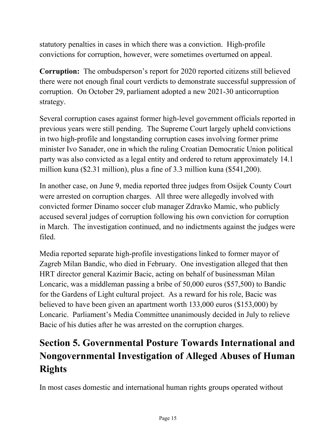statutory penalties in cases in which there was a conviction. High-profile convictions for corruption, however, were sometimes overturned on appeal.

**Corruption:** The ombudsperson's report for 2020 reported citizens still believed there were not enough final court verdicts to demonstrate successful suppression of corruption. On October 29, parliament adopted a new 2021-30 anticorruption strategy.

Several corruption cases against former high-level government officials reported in previous years were still pending. The Supreme Court largely upheld convictions in two high-profile and longstanding corruption cases involving former prime minister Ivo Sanader, one in which the ruling Croatian Democratic Union political party was also convicted as a legal entity and ordered to return approximately 14.1 million kuna (\$2.31 million), plus a fine of 3.3 million kuna (\$541,200).

In another case, on June 9, media reported three judges from Osijek County Court were arrested on corruption charges. All three were allegedly involved with convicted former Dinamo soccer club manager Zdravko Mamic, who publicly accused several judges of corruption following his own conviction for corruption in March. The investigation continued, and no indictments against the judges were filed.

Media reported separate high-profile investigations linked to former mayor of Zagreb Milan Bandic, who died in February. One investigation alleged that then HRT director general Kazimir Bacic, acting on behalf of businessman Milan Loncaric, was a middleman passing a bribe of 50,000 euros (\$57,500) to Bandic for the Gardens of Light cultural project. As a reward for his role, Bacic was believed to have been given an apartment worth 133,000 euros (\$153,000) by Loncaric. Parliament's Media Committee unanimously decided in July to relieve Bacic of his duties after he was arrested on the corruption charges.

# **Section 5. Governmental Posture Towards International and Nongovernmental Investigation of Alleged Abuses of Human Rights**

In most cases domestic and international human rights groups operated without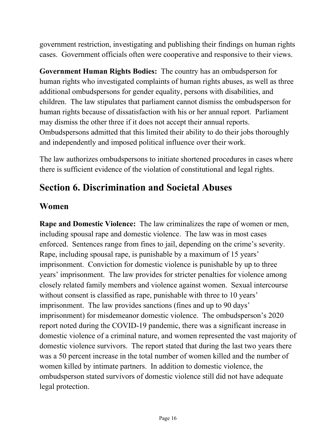government restriction, investigating and publishing their findings on human rights cases. Government officials often were cooperative and responsive to their views.

**Government Human Rights Bodies:** The country has an ombudsperson for human rights who investigated complaints of human rights abuses, as well as three additional ombudspersons for gender equality, persons with disabilities, and children. The law stipulates that parliament cannot dismiss the ombudsperson for human rights because of dissatisfaction with his or her annual report. Parliament may dismiss the other three if it does not accept their annual reports. Ombudspersons admitted that this limited their ability to do their jobs thoroughly and independently and imposed political influence over their work.

The law authorizes ombudspersons to initiate shortened procedures in cases where there is sufficient evidence of the violation of constitutional and legal rights.

# **Section 6. Discrimination and Societal Abuses**

#### **Women**

**Rape and Domestic Violence:** The law criminalizes the rape of women or men, including spousal rape and domestic violence. The law was in most cases enforced. Sentences range from fines to jail, depending on the crime's severity. Rape, including spousal rape, is punishable by a maximum of 15 years' imprisonment. Conviction for domestic violence is punishable by up to three years' imprisonment. The law provides for stricter penalties for violence among closely related family members and violence against women. Sexual intercourse without consent is classified as rape, punishable with three to 10 years' imprisonment. The law provides sanctions (fines and up to 90 days' imprisonment) for misdemeanor domestic violence. The ombudsperson's 2020 report noted during the COVID-19 pandemic, there was a significant increase in domestic violence of a criminal nature, and women represented the vast majority of domestic violence survivors. The report stated that during the last two years there was a 50 percent increase in the total number of women killed and the number of women killed by intimate partners. In addition to domestic violence, the ombudsperson stated survivors of domestic violence still did not have adequate legal protection.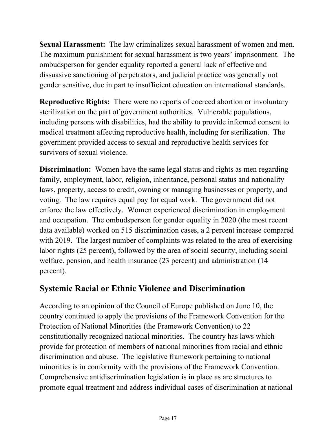**Sexual Harassment:** The law criminalizes sexual harassment of women and men. The maximum punishment for sexual harassment is two years' imprisonment. The ombudsperson for gender equality reported a general lack of effective and dissuasive sanctioning of perpetrators, and judicial practice was generally not gender sensitive, due in part to insufficient education on international standards.

**Reproductive Rights:** There were no reports of coerced abortion or involuntary sterilization on the part of government authorities. Vulnerable populations, including persons with disabilities, had the ability to provide informed consent to medical treatment affecting reproductive health, including for sterilization. The government provided access to sexual and reproductive health services for survivors of sexual violence.

**Discrimination:** Women have the same legal status and rights as men regarding family, employment, labor, religion, inheritance, personal status and nationality laws, property, access to credit, owning or managing businesses or property, and voting. The law requires equal pay for equal work. The government did not enforce the law effectively. Women experienced discrimination in employment and occupation. The ombudsperson for gender equality in 2020 (the most recent data available) worked on 515 discrimination cases, a 2 percent increase compared with 2019. The largest number of complaints was related to the area of exercising labor rights (25 percent), followed by the area of social security, including social welfare, pension, and health insurance (23 percent) and administration (14 percent).

### **Systemic Racial or Ethnic Violence and Discrimination**

According to an opinion of the Council of Europe published on June 10, the country continued to apply the provisions of the Framework Convention for the Protection of National Minorities (the Framework Convention) to 22 constitutionally recognized national minorities. The country has laws which provide for protection of members of national minorities from racial and ethnic discrimination and abuse. The legislative framework pertaining to national minorities is in conformity with the provisions of the Framework Convention. Comprehensive antidiscrimination legislation is in place as are structures to promote equal treatment and address individual cases of discrimination at national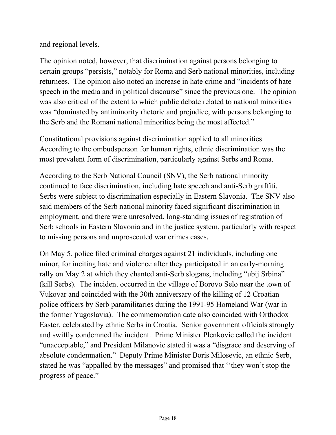and regional levels.

The opinion noted, however, that discrimination against persons belonging to certain groups "persists," notably for Roma and Serb national minorities, including returnees. The opinion also noted an increase in hate crime and "incidents of hate speech in the media and in political discourse" since the previous one. The opinion was also critical of the extent to which public debate related to national minorities was "dominated by antiminority rhetoric and prejudice, with persons belonging to the Serb and the Romani national minorities being the most affected."

Constitutional provisions against discrimination applied to all minorities. According to the ombudsperson for human rights, ethnic discrimination was the most prevalent form of discrimination, particularly against Serbs and Roma.

According to the Serb National Council (SNV), the Serb national minority continued to face discrimination, including hate speech and anti-Serb graffiti. Serbs were subject to discrimination especially in Eastern Slavonia. The SNV also said members of the Serb national minority faced significant discrimination in employment, and there were unresolved, long-standing issues of registration of Serb schools in Eastern Slavonia and in the justice system, particularly with respect to missing persons and unprosecuted war crimes cases.

On May 5, police filed criminal charges against 21 individuals, including one minor, for inciting hate and violence after they participated in an early-morning rally on May 2 at which they chanted anti-Serb slogans, including "ubij Srbina" (kill Serbs). The incident occurred in the village of Borovo Selo near the town of Vukovar and coincided with the 30th anniversary of the killing of 12 Croatian police officers by Serb paramilitaries during the 1991-95 Homeland War (war in the former Yugoslavia). The commemoration date also coincided with Orthodox Easter, celebrated by ethnic Serbs in Croatia. Senior government officials strongly and swiftly condemned the incident. Prime Minister Plenkovic called the incident "unacceptable," and President Milanovic stated it was a "disgrace and deserving of absolute condemnation." Deputy Prime Minister Boris Milosevic, an ethnic Serb, stated he was "appalled by the messages" and promised that ''they won't stop the progress of peace."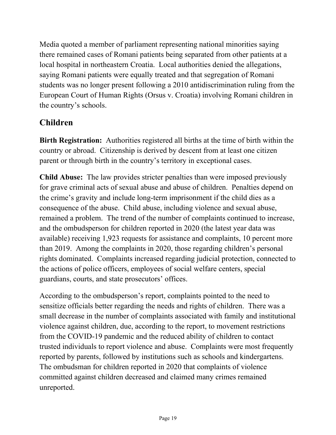Media quoted a member of parliament representing national minorities saying there remained cases of Romani patients being separated from other patients at a local hospital in northeastern Croatia. Local authorities denied the allegations, saying Romani patients were equally treated and that segregation of Romani students was no longer present following a 2010 antidiscrimination ruling from the European Court of Human Rights (Orsus v. Croatia) involving Romani children in the country's schools.

## **Children**

**Birth Registration:** Authorities registered all births at the time of birth within the country or abroad. Citizenship is derived by descent from at least one citizen parent or through birth in the country's territory in exceptional cases.

**Child Abuse:** The law provides stricter penalties than were imposed previously for grave criminal acts of sexual abuse and abuse of children. Penalties depend on the crime's gravity and include long-term imprisonment if the child dies as a consequence of the abuse. Child abuse, including violence and sexual abuse, remained a problem. The trend of the number of complaints continued to increase, and the ombudsperson for children reported in 2020 (the latest year data was available) receiving 1,923 requests for assistance and complaints, 10 percent more than 2019. Among the complaints in 2020, those regarding children's personal rights dominated. Complaints increased regarding judicial protection, connected to the actions of police officers, employees of social welfare centers, special guardians, courts, and state prosecutors' offices.

According to the ombudsperson's report, complaints pointed to the need to sensitize officials better regarding the needs and rights of children. There was a small decrease in the number of complaints associated with family and institutional violence against children, due, according to the report, to movement restrictions from the COVID-19 pandemic and the reduced ability of children to contact trusted individuals to report violence and abuse. Complaints were most frequently reported by parents, followed by institutions such as schools and kindergartens. The ombudsman for children reported in 2020 that complaints of violence committed against children decreased and claimed many crimes remained unreported.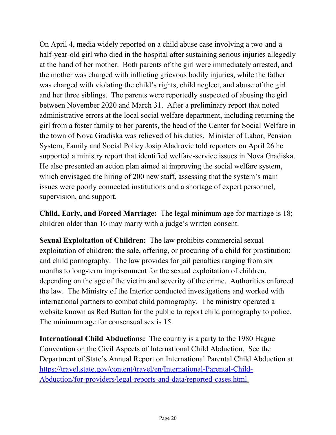On April 4, media widely reported on a child abuse case involving a two-and-ahalf-year-old girl who died in the hospital after sustaining serious injuries allegedly at the hand of her mother. Both parents of the girl were immediately arrested, and the mother was charged with inflicting grievous bodily injuries, while the father was charged with violating the child's rights, child neglect, and abuse of the girl and her three siblings. The parents were reportedly suspected of abusing the girl between November 2020 and March 31. After a preliminary report that noted administrative errors at the local social welfare department, including returning the girl from a foster family to her parents, the head of the Center for Social Welfare in the town of Nova Gradiska was relieved of his duties. Minister of Labor, Pension System, Family and Social Policy Josip Aladrovic told reporters on April 26 he supported a ministry report that identified welfare-service issues in Nova Gradiska. He also presented an action plan aimed at improving the social welfare system, which envisaged the hiring of 200 new staff, assessing that the system's main issues were poorly connected institutions and a shortage of expert personnel, supervision, and support.

**Child, Early, and Forced Marriage:** The legal minimum age for marriage is 18; children older than 16 may marry with a judge's written consent.

**Sexual Exploitation of Children:** The law prohibits commercial sexual exploitation of children; the sale, offering, or procuring of a child for prostitution; and child pornography. The law provides for jail penalties ranging from six months to long-term imprisonment for the sexual exploitation of children, depending on the age of the victim and severity of the crime. Authorities enforced the law. The Ministry of the Interior conducted investigations and worked with international partners to combat child pornography. The ministry operated a website known as Red Button for the public to report child pornography to police. The minimum age for consensual sex is 15.

**International Child Abductions:** The country is a party to the 1980 Hague Convention on the Civil Aspects of International Child Abduction. See the Department of State's Annual Report on International Parental Child Abduction at [https://travel.state.gov/content/travel/en/International-Parental-Child-](https://travel.state.gov/content/travel/en/International-Parental-Child-Abduction/for-providers/legal-reports-and-data/reported-cases.html)[Abduction/for-providers/legal-reports-and-data/reported-cases.html.](https://travel.state.gov/content/travel/en/International-Parental-Child-Abduction/for-providers/legal-reports-and-data/reported-cases.html)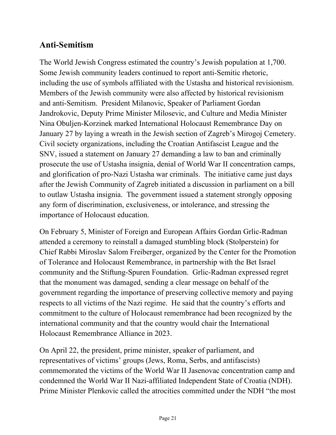### **Anti-Semitism**

The World Jewish Congress estimated the country's Jewish population at 1,700. Some Jewish community leaders continued to report anti-Semitic rhetoric, including the use of symbols affiliated with the Ustasha and historical revisionism. Members of the Jewish community were also affected by historical revisionism and anti-Semitism. President Milanovic, Speaker of Parliament Gordan Jandrokovic, Deputy Prime Minister Milosevic, and Culture and Media Minister Nina Obuljen-Korzinek marked International Holocaust Remembrance Day on January 27 by laying a wreath in the Jewish section of Zagreb's Mirogoj Cemetery. Civil society organizations, including the Croatian Antifascist League and the SNV, issued a statement on January 27 demanding a law to ban and criminally prosecute the use of Ustasha insignia, denial of World War II concentration camps, and glorification of pro-Nazi Ustasha war criminals. The initiative came just days after the Jewish Community of Zagreb initiated a discussion in parliament on a bill to outlaw Ustasha insignia. The government issued a statement strongly opposing any form of discrimination, exclusiveness, or intolerance, and stressing the importance of Holocaust education.

On February 5, Minister of Foreign and European Affairs Gordan Grlic-Radman attended a ceremony to reinstall a damaged stumbling block (Stolperstein) for Chief Rabbi Miroslav Salom Freiberger, organized by the Center for the Promotion of Tolerance and Holocaust Remembrance, in partnership with the Bet Israel community and the Stiftung-Spuren Foundation. Grlic-Radman expressed regret that the monument was damaged, sending a clear message on behalf of the government regarding the importance of preserving collective memory and paying respects to all victims of the Nazi regime. He said that the country's efforts and commitment to the culture of Holocaust remembrance had been recognized by the international community and that the country would chair the International Holocaust Remembrance Alliance in 2023.

On April 22, the president, prime minister, speaker of parliament, and representatives of victims' groups (Jews, Roma, Serbs, and antifascists) commemorated the victims of the World War II Jasenovac concentration camp and condemned the World War II Nazi-affiliated Independent State of Croatia (NDH). Prime Minister Plenkovic called the atrocities committed under the NDH "the most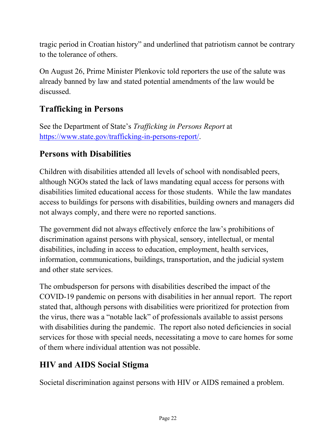tragic period in Croatian history" and underlined that patriotism cannot be contrary to the tolerance of others.

On August 26, Prime Minister Plenkovic told reporters the use of the salute was already banned by law and stated potential amendments of the law would be discussed.

## **Trafficking in Persons**

See the Department of State's *Trafficking in Persons Report* at [https://www.state.gov/trafficking-in-persons-report/.](http://www.state.gov/j/tip/rls/tiprpt/)

### **Persons with Disabilities**

Children with disabilities attended all levels of school with nondisabled peers, although NGOs stated the lack of laws mandating equal access for persons with disabilities limited educational access for those students. While the law mandates access to buildings for persons with disabilities, building owners and managers did not always comply, and there were no reported sanctions.

The government did not always effectively enforce the law's prohibitions of discrimination against persons with physical, sensory, intellectual, or mental disabilities, including in access to education, employment, health services, information, communications, buildings, transportation, and the judicial system and other state services.

The ombudsperson for persons with disabilities described the impact of the COVID-19 pandemic on persons with disabilities in her annual report. The report stated that, although persons with disabilities were prioritized for protection from the virus, there was a "notable lack" of professionals available to assist persons with disabilities during the pandemic. The report also noted deficiencies in social services for those with special needs, necessitating a move to care homes for some of them where individual attention was not possible.

### **HIV and AIDS Social Stigma**

Societal discrimination against persons with HIV or AIDS remained a problem.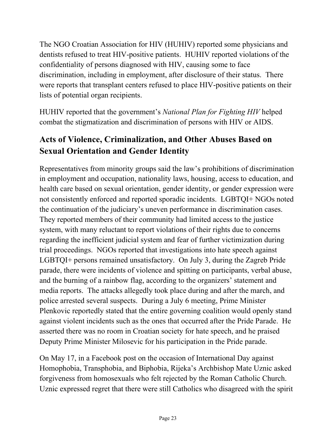The NGO Croatian Association for HIV (HUHIV) reported some physicians and dentists refused to treat HIV-positive patients. HUHIV reported violations of the confidentiality of persons diagnosed with HIV, causing some to face discrimination, including in employment, after disclosure of their status. There were reports that transplant centers refused to place HIV-positive patients on their lists of potential organ recipients.

HUHIV reported that the government's *National Plan for Fighting HIV* helped combat the stigmatization and discrimination of persons with HIV or AIDS.

## **Acts of Violence, Criminalization, and Other Abuses Based on Sexual Orientation and Gender Identity**

Representatives from minority groups said the law's prohibitions of discrimination in employment and occupation, nationality laws, housing, access to education, and health care based on sexual orientation, gender identity, or gender expression were not consistently enforced and reported sporadic incidents. LGBTQI+ NGOs noted the continuation of the judiciary's uneven performance in discrimination cases. They reported members of their community had limited access to the justice system, with many reluctant to report violations of their rights due to concerns regarding the inefficient judicial system and fear of further victimization during trial proceedings. NGOs reported that investigations into hate speech against LGBTQI+ persons remained unsatisfactory. On July 3, during the Zagreb Pride parade, there were incidents of violence and spitting on participants, verbal abuse, and the burning of a rainbow flag, according to the organizers' statement and media reports. The attacks allegedly took place during and after the march, and police arrested several suspects. During a July 6 meeting, Prime Minister Plenkovic reportedly stated that the entire governing coalition would openly stand against violent incidents such as the ones that occurred after the Pride Parade. He asserted there was no room in Croatian society for hate speech, and he praised Deputy Prime Minister Milosevic for his participation in the Pride parade.

On May 17, in a Facebook post on the occasion of International Day against Homophobia, Transphobia, and Biphobia, Rijeka's Archbishop Mate Uznic asked forgiveness from homosexuals who felt rejected by the Roman Catholic Church. Uznic expressed regret that there were still Catholics who disagreed with the spirit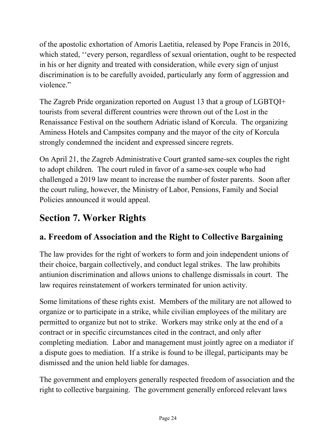of the apostolic exhortation of Amoris Laetitia, released by Pope Francis in 2016, which stated, ''every person, regardless of sexual orientation, ought to be respected in his or her dignity and treated with consideration, while every sign of unjust discrimination is to be carefully avoided, particularly any form of aggression and violence."

The Zagreb Pride organization reported on August 13 that a group of LGBTQI+ tourists from several different countries were thrown out of the Lost in the Renaissance Festival on the southern Adriatic island of Korcula. The organizing Aminess Hotels and Campsites company and the mayor of the city of Korcula strongly condemned the incident and expressed sincere regrets.

On April 21, the Zagreb Administrative Court granted same-sex couples the right to adopt children. The court ruled in favor of a same-sex couple who had challenged a 2019 law meant to increase the number of foster parents. Soon after the court ruling, however, the Ministry of Labor, Pensions, Family and Social Policies announced it would appeal.

# **Section 7. Worker Rights**

## **a. Freedom of Association and the Right to Collective Bargaining**

The law provides for the right of workers to form and join independent unions of their choice, bargain collectively, and conduct legal strikes. The law prohibits antiunion discrimination and allows unions to challenge dismissals in court. The law requires reinstatement of workers terminated for union activity.

Some limitations of these rights exist. Members of the military are not allowed to organize or to participate in a strike, while civilian employees of the military are permitted to organize but not to strike. Workers may strike only at the end of a contract or in specific circumstances cited in the contract, and only after completing mediation. Labor and management must jointly agree on a mediator if a dispute goes to mediation. If a strike is found to be illegal, participants may be dismissed and the union held liable for damages.

The government and employers generally respected freedom of association and the right to collective bargaining. The government generally enforced relevant laws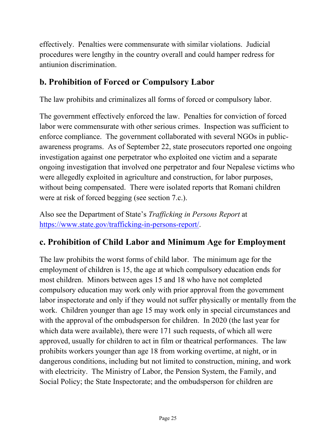effectively. Penalties were commensurate with similar violations. Judicial procedures were lengthy in the country overall and could hamper redress for antiunion discrimination.

### **b. Prohibition of Forced or Compulsory Labor**

The law prohibits and criminalizes all forms of forced or compulsory labor.

The government effectively enforced the law. Penalties for conviction of forced labor were commensurate with other serious crimes. Inspection was sufficient to enforce compliance. The government collaborated with several NGOs in publicawareness programs. As of September 22, state prosecutors reported one ongoing investigation against one perpetrator who exploited one victim and a separate ongoing investigation that involved one perpetrator and four Nepalese victims who were allegedly exploited in agriculture and construction, for labor purposes, without being compensated. There were isolated reports that Romani children were at risk of forced begging (see section 7.c.).

Also see the Department of State's *Trafficking in Persons Report* at [https://www.state.gov/trafficking-in-persons-report/.](https://www.state.gov/trafficking-in-persons-report/)

### **c. Prohibition of Child Labor and Minimum Age for Employment**

The law prohibits the worst forms of child labor. The minimum age for the employment of children is 15, the age at which compulsory education ends for most children. Minors between ages 15 and 18 who have not completed compulsory education may work only with prior approval from the government labor inspectorate and only if they would not suffer physically or mentally from the work. Children younger than age 15 may work only in special circumstances and with the approval of the ombudsperson for children. In 2020 (the last year for which data were available), there were 171 such requests, of which all were approved, usually for children to act in film or theatrical performances. The law prohibits workers younger than age 18 from working overtime, at night, or in dangerous conditions, including but not limited to construction, mining, and work with electricity. The Ministry of Labor, the Pension System, the Family, and Social Policy; the State Inspectorate; and the ombudsperson for children are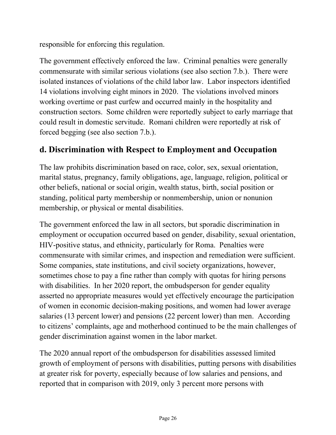responsible for enforcing this regulation.

The government effectively enforced the law. Criminal penalties were generally commensurate with similar serious violations (see also section 7.b.). There were isolated instances of violations of the child labor law. Labor inspectors identified 14 violations involving eight minors in 2020. The violations involved minors working overtime or past curfew and occurred mainly in the hospitality and construction sectors. Some children were reportedly subject to early marriage that could result in domestic servitude. Romani children were reportedly at risk of forced begging (see also section 7.b.).

## **d. Discrimination with Respect to Employment and Occupation**

The law prohibits discrimination based on race, color, sex, sexual orientation, marital status, pregnancy, family obligations, age, language, religion, political or other beliefs, national or social origin, wealth status, birth, social position or standing, political party membership or nonmembership, union or nonunion membership, or physical or mental disabilities.

The government enforced the law in all sectors, but sporadic discrimination in employment or occupation occurred based on gender, disability, sexual orientation, HIV-positive status, and ethnicity, particularly for Roma. Penalties were commensurate with similar crimes, and inspection and remediation were sufficient. Some companies, state institutions, and civil society organizations, however, sometimes chose to pay a fine rather than comply with quotas for hiring persons with disabilities. In her 2020 report, the ombudsperson for gender equality asserted no appropriate measures would yet effectively encourage the participation of women in economic decision-making positions, and women had lower average salaries (13 percent lower) and pensions (22 percent lower) than men. According to citizens' complaints, age and motherhood continued to be the main challenges of gender discrimination against women in the labor market.

The 2020 annual report of the ombudsperson for disabilities assessed limited growth of employment of persons with disabilities, putting persons with disabilities at greater risk for poverty, especially because of low salaries and pensions, and reported that in comparison with 2019, only 3 percent more persons with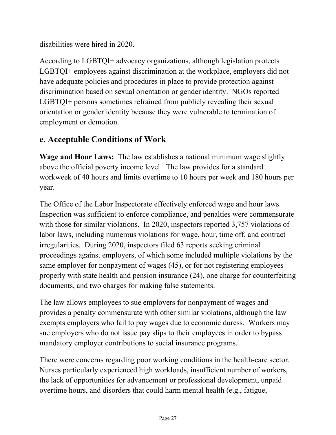disabilities were hired in 2020.

According to LGBTQI+ advocacy organizations, although legislation protects LGBTQI+ employees against discrimination at the workplace, employers did not have adequate policies and procedures in place to provide protection against discrimination based on sexual orientation or gender identity. NGOs reported LGBTQI+ persons sometimes refrained from publicly revealing their sexual orientation or gender identity because they were vulnerable to termination of employment or demotion.

### **e. Acceptable Conditions of Work**

**Wage and Hour Laws:** The law establishes a national minimum wage slightly above the official poverty income level. The law provides for a standard workweek of 40 hours and limits overtime to 10 hours per week and 180 hours per year.

The Office of the Labor Inspectorate effectively enforced wage and hour laws. Inspection was sufficient to enforce compliance, and penalties were commensurate with those for similar violations. In 2020, inspectors reported 3,757 violations of labor laws, including numerous violations for wage, hour, time off, and contract irregularities. During 2020, inspectors filed 63 reports seeking criminal proceedings against employers, of which some included multiple violations by the same employer for nonpayment of wages (45), or for not registering employees properly with state health and pension insurance (24), one charge for counterfeiting documents, and two charges for making false statements.

The law allows employees to sue employers for nonpayment of wages and provides a penalty commensurate with other similar violations, although the law exempts employers who fail to pay wages due to economic duress. Workers may sue employers who do not issue pay slips to their employees in order to bypass mandatory employer contributions to social insurance programs.

There were concerns regarding poor working conditions in the health-care sector. Nurses particularly experienced high workloads, insufficient number of workers, the lack of opportunities for advancement or professional development, unpaid overtime hours, and disorders that could harm mental health (e.g., fatigue,